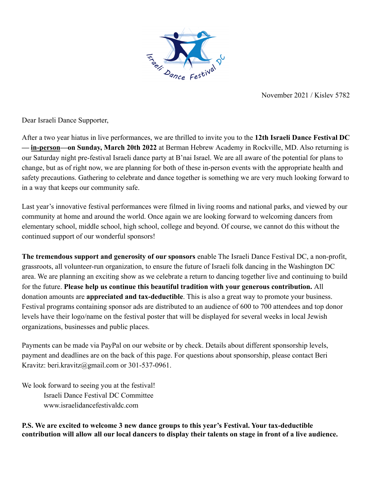

November 2021 / Kislev 5782

Dear Israeli Dance Supporter,

After a two year hiatus in live performances, we are thrilled to invite you to the **12th Israeli Dance Festival DC — in-person—on Sunday, March 20th 2022** at Berman Hebrew Academy in Rockville, MD. Also returning is our Saturday night pre-festival Israeli dance party at B'nai Israel. We are all aware of the potential for plans to change, but as of right now, we are planning for both of these in-person events with the appropriate health and safety precautions. Gathering to celebrate and dance together is something we are very much looking forward to in a way that keeps our community safe.

Last year's innovative festival performances were filmed in living rooms and national parks, and viewed by our community at home and around the world. Once again we are looking forward to welcoming dancers from elementary school, middle school, high school, college and beyond. Of course, we cannot do this without the continued support of our wonderful sponsors!

**The tremendous support and generosity of our sponsors** enable The Israeli Dance Festival DC, a non-profit, grassroots, all volunteer-run organization, to ensure the future of Israeli folk dancing in the Washington DC area. We are planning an exciting show as we celebrate a return to dancing together live and continuing to build for the future. **Please help us continue this beautiful tradition with your generous contribution.** All donation amounts are **appreciated and tax-deductible**. This is also a great way to promote your business. Festival programs containing sponsor ads are distributed to an audience of 600 to 700 attendees and top donor levels have their logo/name on the festival poster that will be displayed for several weeks in local Jewish organizations, businesses and public places.

Payments can be made via PayPal on our website or by check. Details about different sponsorship levels, payment and deadlines are on the back of this page. For questions about sponsorship, please contact Beri Kravitz: beri.kravitz@gmail.com or 301-537-0961.

We look forward to seeing you at the festival! Israeli Dance Festival DC Committee www.israelidancefestivaldc.com

**P.S. We are excited to welcome 3 new dance groups to this year's Festival. Your tax-deductible contribution will allow all our local dancers to display their talents on stage in front of a live audience.**